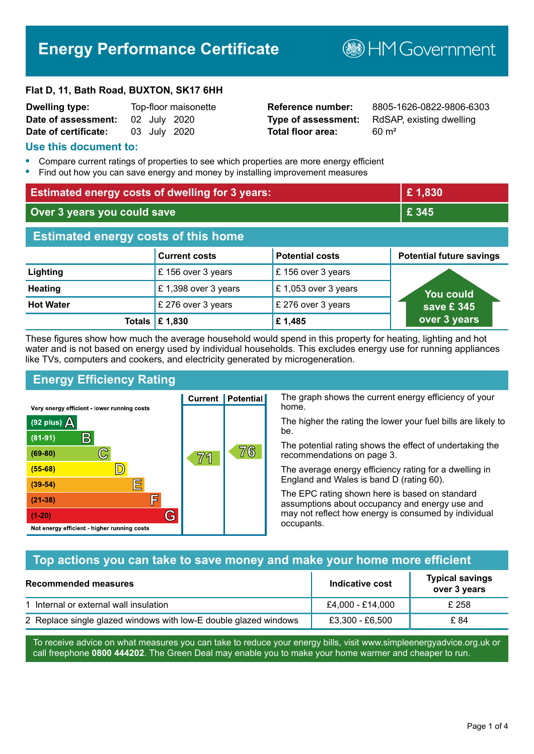# **Energy Performance Certificate**

**B**HMGovernment

#### **Flat D, 11, Bath Road, BUXTON, SK17 6HH**

| <b>Dwelling type:</b> |  | Top-floor maisonette |
|-----------------------|--|----------------------|
| Date of assessment:   |  | 02 July 2020         |
| Date of certificate:  |  | 03 July 2020         |

# **Total floor area:** 60 m<sup>2</sup>

**Dwelling type:** Top-floor maisonette **Reference number:** 8805-1626-0822-9806-6303 **Type of assessment:** RdSAP, existing dwelling

#### **Use this document to:**

- **•** Compare current ratings of properties to see which properties are more energy efficient
- **•** Find out how you can save energy and money by installing improvement measures

| <b>Estimated energy costs of dwelling for 3 years:</b> |                           |                        | £1,830                          |
|--------------------------------------------------------|---------------------------|------------------------|---------------------------------|
| Over 3 years you could save                            |                           |                        | £ 345                           |
| <b>Estimated energy costs of this home</b>             |                           |                        |                                 |
|                                                        | <b>Current costs</b>      | <b>Potential costs</b> | <b>Potential future savings</b> |
| Lighting                                               | £156 over 3 years         | £156 over 3 years      |                                 |
| <b>Heating</b>                                         | £1,398 over 3 years       | £ 1,053 over 3 years   | <u>You could</u>                |
| <b>Hot Water</b>                                       | £ 276 over 3 years        | £ 276 over 3 years     | save £345                       |
|                                                        | Totals $\mathsf{E}$ 1,830 | £1,485                 | over 3 years                    |

These figures show how much the average household would spend in this property for heating, lighting and hot water and is not based on energy used by individual households. This excludes energy use for running appliances like TVs, computers and cookers, and electricity generated by microgeneration.

**Current | Potential** 

71

# **Energy Efficiency Rating**

 $\mathbb{C}$ 

D)

IΞ

E

G

Very energy efficient - lower running costs

R

Not energy efficient - higher running costs

(92 plus)  $\Delta$ 

 $(81 - 91)$ 

 $(69 - 80)$ 

 $(55-68)$  $(39-54)$ 

 $(21-38)$ 

 $(1-20)$ 

The graph shows the current energy efficiency of your home.

The higher the rating the lower your fuel bills are likely to be.

The potential rating shows the effect of undertaking the recommendations on page 3.

The average energy efficiency rating for a dwelling in England and Wales is band D (rating 60).

The EPC rating shown here is based on standard assumptions about occupancy and energy use and may not reflect how energy is consumed by individual occupants.

# **Top actions you can take to save money and make your home more efficient**

76

| <b>Recommended measures</b>                                      | Indicative cost  | <b>Typical savings</b><br>over 3 years |
|------------------------------------------------------------------|------------------|----------------------------------------|
| 1 Internal or external wall insulation                           | £4,000 - £14,000 | £ 258                                  |
| 2 Replace single glazed windows with low-E double glazed windows | £3,300 - £6,500  | £ 84                                   |

To receive advice on what measures you can take to reduce your energy bills, visit www.simpleenergyadvice.org.uk or call freephone **0800 444202**. The Green Deal may enable you to make your home warmer and cheaper to run.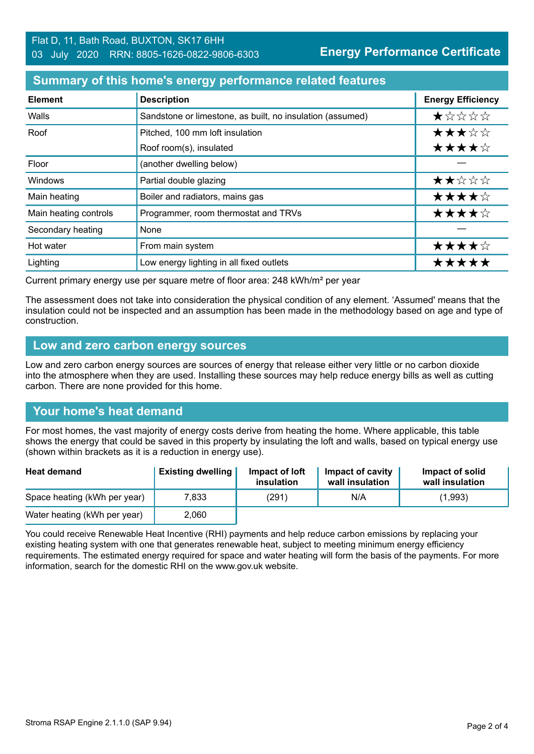#### **Summary of this home's energy performance related features**

| <b>Element</b>        | <b>Description</b>                                        | <b>Energy Efficiency</b> |
|-----------------------|-----------------------------------------------------------|--------------------------|
| Walls                 | Sandstone or limestone, as built, no insulation (assumed) | $\star$ * * * *          |
| Roof                  | Pitched, 100 mm loft insulation                           | ★★★☆☆                    |
|                       | Roof room(s), insulated                                   | ★★★★☆                    |
| Floor                 | (another dwelling below)                                  |                          |
| Windows               | Partial double glazing                                    | ★★☆☆☆                    |
| Main heating          | Boiler and radiators, mains gas                           | ★★★★☆                    |
| Main heating controls | Programmer, room thermostat and TRVs                      | ★★★★☆                    |
| Secondary heating     | None                                                      |                          |
| Hot water             | From main system                                          | ★★★★☆                    |
| Lighting              | Low energy lighting in all fixed outlets                  | *****                    |

Current primary energy use per square metre of floor area: 248 kWh/m² per year

The assessment does not take into consideration the physical condition of any element. 'Assumed' means that the insulation could not be inspected and an assumption has been made in the methodology based on age and type of construction.

#### **Low and zero carbon energy sources**

Low and zero carbon energy sources are sources of energy that release either very little or no carbon dioxide into the atmosphere when they are used. Installing these sources may help reduce energy bills as well as cutting carbon. There are none provided for this home.

# **Your home's heat demand**

For most homes, the vast majority of energy costs derive from heating the home. Where applicable, this table shows the energy that could be saved in this property by insulating the loft and walls, based on typical energy use (shown within brackets as it is a reduction in energy use).

| <b>Heat demand</b>           | <b>Existing dwelling</b> | Impact of loft<br>insulation | Impact of cavity<br>wall insulation | Impact of solid<br>wall insulation |
|------------------------------|--------------------------|------------------------------|-------------------------------------|------------------------------------|
| Space heating (kWh per year) | 7,833                    | (291)                        | N/A                                 | (1,993)                            |
| Water heating (kWh per year) | 2,060                    |                              |                                     |                                    |

You could receive Renewable Heat Incentive (RHI) payments and help reduce carbon emissions by replacing your existing heating system with one that generates renewable heat, subject to meeting minimum energy efficiency requirements. The estimated energy required for space and water heating will form the basis of the payments. For more information, search for the domestic RHI on the www.gov.uk website.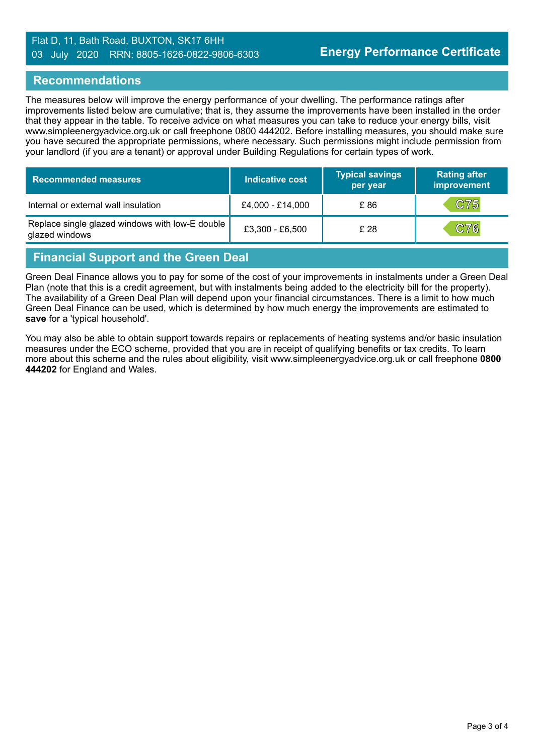#### Flat D, 11, Bath Road, BUXTON, SK17 6HH 03 July 2020 RRN: 8805-1626-0822-9806-6303

#### **Recommendations**

The measures below will improve the energy performance of your dwelling. The performance ratings after improvements listed below are cumulative; that is, they assume the improvements have been installed in the order that they appear in the table. To receive advice on what measures you can take to reduce your energy bills, visit www.simpleenergyadvice.org.uk or call freephone 0800 444202. Before installing measures, you should make sure you have secured the appropriate permissions, where necessary. Such permissions might include permission from your landlord (if you are a tenant) or approval under Building Regulations for certain types of work.

| <b>Recommended measures</b>                                       | Indicative cost  | <b>Typical savings</b><br>per year | <b>Rating after</b><br>improvement |
|-------------------------------------------------------------------|------------------|------------------------------------|------------------------------------|
| Internal or external wall insulation                              | £4,000 - £14,000 | £86                                | C75                                |
| Replace single glazed windows with low-E double<br>glazed windows | £3,300 - £6,500  | £ 28                               | C76                                |

# **Financial Support and the Green Deal**

Green Deal Finance allows you to pay for some of the cost of your improvements in instalments under a Green Deal Plan (note that this is a credit agreement, but with instalments being added to the electricity bill for the property). The availability of a Green Deal Plan will depend upon your financial circumstances. There is a limit to how much Green Deal Finance can be used, which is determined by how much energy the improvements are estimated to **save** for a 'typical household'.

You may also be able to obtain support towards repairs or replacements of heating systems and/or basic insulation measures under the ECO scheme, provided that you are in receipt of qualifying benefits or tax credits. To learn more about this scheme and the rules about eligibility, visit www.simpleenergyadvice.org.uk or call freephone **0800 444202** for England and Wales.